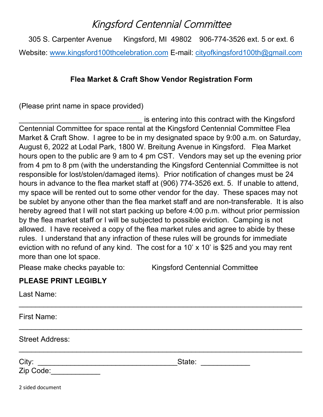## Kingsford Centennial Committee

305 S. Carpenter Avenue Kingsford, MI 49802 906-774-3526 ext. 5 or ext. 6 Website: www.kingsford100thcelebration.com E-mail: cityofkingsford100th@gmail.com

## **Flea Market & Craft Show Vendor Registration Form**

(Please print name in space provided)

is entering into this contract with the Kingsford Centennial Committee for space rental at the Kingsford Centennial Committee Flea Market & Craft Show. I agree to be in my designated space by 9:00 a.m. on Saturday, August 6, 2022 at Lodal Park, 1800 W. Breitung Avenue in Kingsford. Flea Market hours open to the public are 9 am to 4 pm CST. Vendors may set up the evening prior from 4 pm to 8 pm (with the understanding the Kingsford Centennial Committee is not responsible for lost/stolen/damaged items). Prior notification of changes must be 24 hours in advance to the flea market staff at (906) 774-3526 ext. 5. If unable to attend, my space will be rented out to some other vendor for the day. These spaces may not be sublet by anyone other than the flea market staff and are non-transferable. It is also hereby agreed that I will not start packing up before 4:00 p.m. without prior permission by the flea market staff or I will be subjected to possible eviction. Camping is not allowed. I have received a copy of the flea market rules and agree to abide by these rules. I understand that any infraction of these rules will be grounds for immediate eviction with no refund of any kind. The cost for a 10' x 10' is \$25 and you may rent more than one lot space.

 $\_$ 

 $\_$ 

 $\_$ 

Please make checks payable to: Kingsford Centennial Committee

## **PLEASE PRINT LEGIBLY**

Last Name:

First Name:

Street Address:

City: \_\_\_\_\_\_\_\_\_\_\_\_\_\_\_\_\_\_\_\_\_\_\_\_\_\_\_\_\_\_\_\_\_\_State: \_\_\_\_\_\_\_\_\_\_\_\_

Zip Code:\_\_\_\_\_\_\_\_\_\_\_\_

2 sided document